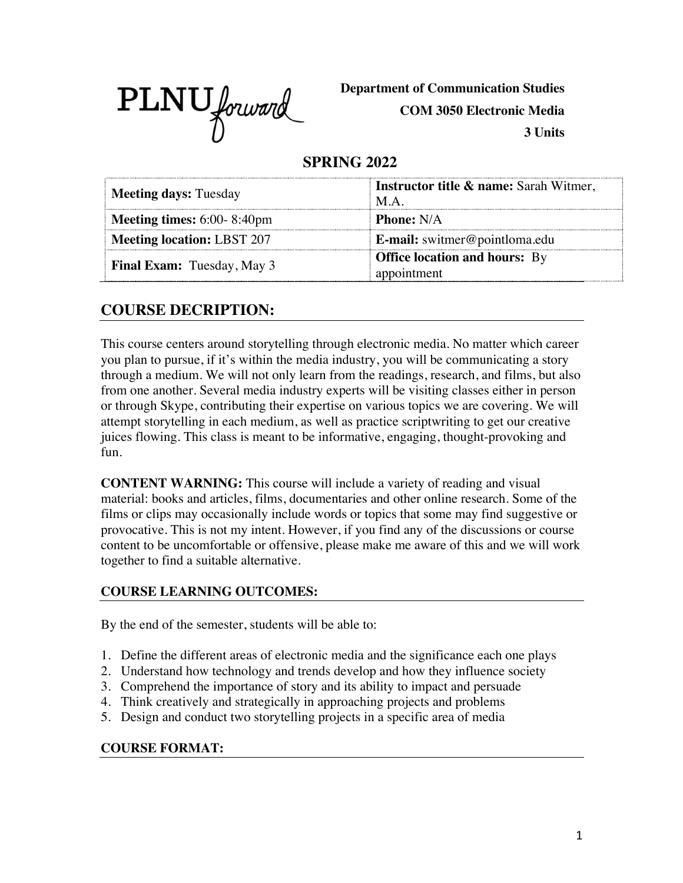

**Department of Communication Studies**

**COM 3050 Electronic Media**

**3 Units**

# **SPRING 2022**

| <b>Meeting days: Tuesday</b>      | <b>Instructor title &amp; name:</b> Sarah Witmer,<br>$MA$ . |  |
|-----------------------------------|-------------------------------------------------------------|--|
| <b>Meeting times:</b> 6:00-8:40pm | <b>Phone:</b> N/A                                           |  |
| <b>Meeting location: LBST 207</b> | <b>E-mail:</b> switmer@pointloma.edu                        |  |
| <b>Final Exam:</b> Tuesday, May 3 | <b>Office location and hours:</b> By<br>appointment         |  |

# **COURSE DECRIPTION:**

This course centers around storytelling through electronic media. No matter which career you plan to pursue, if it's within the media industry, you will be communicating a story through a medium. We will not only learn from the readings, research, and films, but also from one another. Several media industry experts will be visiting classes either in person or through Skype, contributing their expertise on various topics we are covering. We will attempt storytelling in each medium, as well as practice scriptwriting to get our creative juices flowing. This class is meant to be informative, engaging, thought-provoking and fun.

**CONTENT WARNING:** This course will include a variety of reading and visual material: books and articles, films, documentaries and other online research. Some of the films or clips may occasionally include words or topics that some may find suggestive or provocative. This is not my intent. However, if you find any of the discussions or course content to be uncomfortable or offensive, please make me aware of this and we will work together to find a suitable alternative.

#### **COURSE LEARNING OUTCOMES:**

By the end of the semester, students will be able to:

- 1. Define the different areas of electronic media and the significance each one plays
- 2. Understand how technology and trends develop and how they influence society
- 3. Comprehend the importance of story and its ability to impact and persuade
- 4. Think creatively and strategically in approaching projects and problems
- 5. Design and conduct two storytelling projects in a specific area of media

#### **COURSE FORMAT:**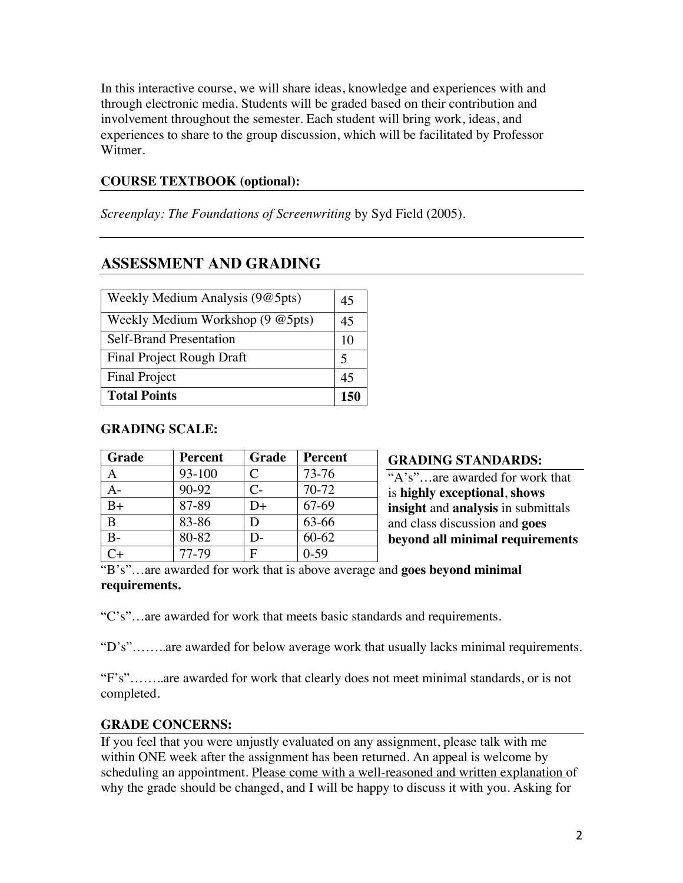In this interactive course, we will share ideas, knowledge and experiences with and through electronic media. Students will be graded based on their contribution and involvement throughout the semester. Each student will bring work, ideas, and experiences to share to the group discussion, which will be facilitated by Professor Witmer.

#### **COURSE TEXTBOOK (optional):**

*Screenplay: The Foundations of Screenwriting* by Syd Field (2005).

# **ASSESSMENT AND GRADING**

|                                      | 45 |
|--------------------------------------|----|
| <b>Final Project</b>                 |    |
| <b>Final Project Rough Draft</b>     |    |
| <b>Self-Brand Presentation</b>       | 10 |
| Weekly Medium Workshop $(9 \t@5pts)$ | 45 |
| Weekly Medium Analysis (9@5pts)      | 45 |

#### **GRADING SCALE:**

| Grade | <b>Percent</b> | Grade             | <b>Percent</b> |
|-------|----------------|-------------------|----------------|
|       | 93-100         | C                 | 73-76          |
| $A -$ | 90-92          | $\mathcal{C}_{-}$ | 70-72          |
| $B+$  | 87-89          | D+                | 67-69          |
| B     | 83-86          | D                 | 63-66          |
| B-    | 80-82          | D-                | $60 - 62$      |
|       | 77-79          | F                 | $0-59$         |

#### **GRADING STANDARDS:**

"A's"…are awarded for work that is **highly exceptional**, **shows insight** and **analysis** in submittals and class discussion and **goes beyond all minimal requirements** 

#### "B's"…are awarded for work that is above average and **goes beyond minimal requirements.**

"C's"…are awarded for work that meets basic standards and requirements.

"D's"……..are awarded for below average work that usually lacks minimal requirements.

"F's"……..are awarded for work that clearly does not meet minimal standards, or is not completed.

#### **GRADE CONCERNS:**

If you feel that you were unjustly evaluated on any assignment, please talk with me within ONE week after the assignment has been returned. An appeal is welcome by scheduling an appointment. Please come with a well-reasoned and written explanation of why the grade should be changed, and I will be happy to discuss it with you. Asking for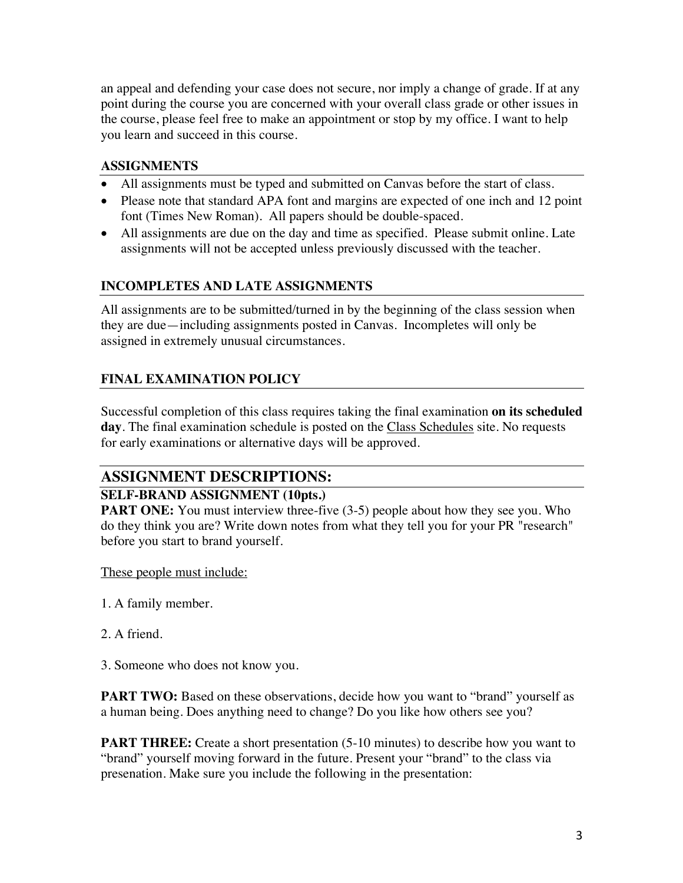an appeal and defending your case does not secure, nor imply a change of grade. If at any point during the course you are concerned with your overall class grade or other issues in the course, please feel free to make an appointment or stop by my office. I want to help you learn and succeed in this course.

### **ASSIGNMENTS**

- All assignments must be typed and submitted on Canvas before the start of class.
- Please note that standard APA font and margins are expected of one inch and 12 point font (Times New Roman). All papers should be double-spaced.
- All assignments are due on the day and time as specified. Please submit online. Late assignments will not be accepted unless previously discussed with the teacher.

### **INCOMPLETES AND LATE ASSIGNMENTS**

All assignments are to be submitted/turned in by the beginning of the class session when they are due—including assignments posted in Canvas. Incompletes will only be assigned in extremely unusual circumstances.

## **FINAL EXAMINATION POLICY**

Successful completion of this class requires taking the final examination **on its scheduled day**. The final examination schedule is posted on the Class Schedules site. No requests for early examinations or alternative days will be approved.

# **ASSIGNMENT DESCRIPTIONS:**

#### **SELF-BRAND ASSIGNMENT (10pts.)**

**PART ONE:** You must interview three-five (3-5) people about how they see you. Who do they think you are? Write down notes from what they tell you for your PR "research" before you start to brand yourself.

These people must include:

- 1. A family member.
- 2. A friend.

3. Someone who does not know you.

**PART TWO:** Based on these observations, decide how you want to "brand" yourself as a human being. Does anything need to change? Do you like how others see you?

**PART THREE:** Create a short presentation (5-10 minutes) to describe how you want to "brand" yourself moving forward in the future. Present your "brand" to the class via presenation. Make sure you include the following in the presentation: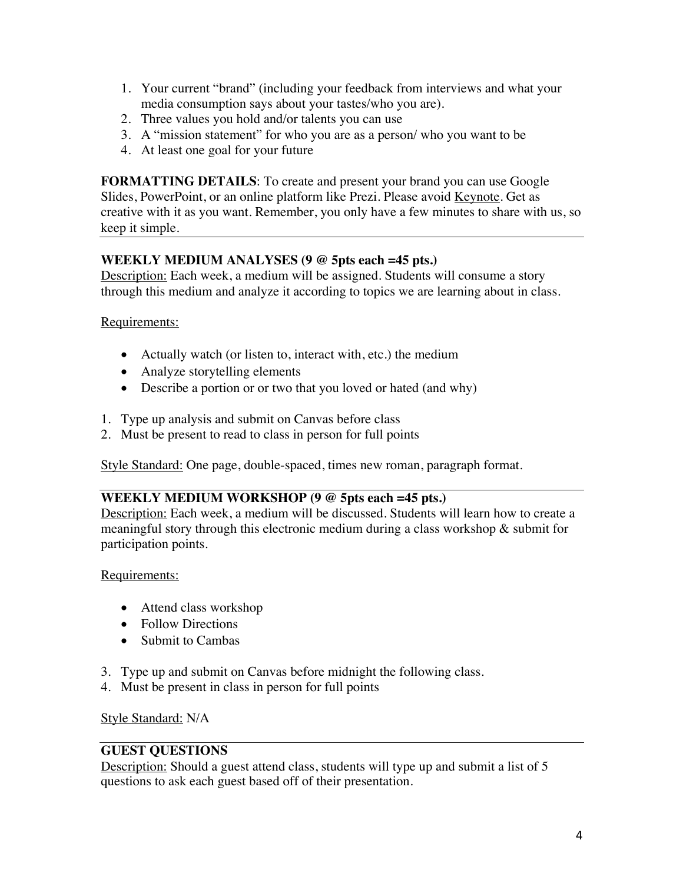- 1. Your current "brand" (including your feedback from interviews and what your media consumption says about your tastes/who you are).
- 2. Three values you hold and/or talents you can use
- 3. A "mission statement" for who you are as a person/ who you want to be
- 4. At least one goal for your future

**FORMATTING DETAILS**: To create and present your brand you can use Google Slides, PowerPoint, or an online platform like Prezi. Please avoid Keynote. Get as creative with it as you want. Remember, you only have a few minutes to share with us, so keep it simple.

#### **WEEKLY MEDIUM ANALYSES (9 @ 5pts each =45 pts.)**

Description: Each week, a medium will be assigned. Students will consume a story through this medium and analyze it according to topics we are learning about in class.

Requirements:

- Actually watch (or listen to, interact with, etc.) the medium
- Analyze storytelling elements
- Describe a portion or or two that you loved or hated (and why)
- 1. Type up analysis and submit on Canvas before class
- 2. Must be present to read to class in person for full points

Style Standard: One page, double-spaced, times new roman, paragraph format.

#### **WEEKLY MEDIUM WORKSHOP (9 @ 5pts each =45 pts.)**

Description: Each week, a medium will be discussed. Students will learn how to create a meaningful story through this electronic medium during a class workshop & submit for participation points.

#### Requirements:

- Attend class workshop
- Follow Directions
- Submit to Cambas
- 3. Type up and submit on Canvas before midnight the following class.
- 4. Must be present in class in person for full points

Style Standard: N/A

### **GUEST QUESTIONS**

Description: Should a guest attend class, students will type up and submit a list of 5 questions to ask each guest based off of their presentation.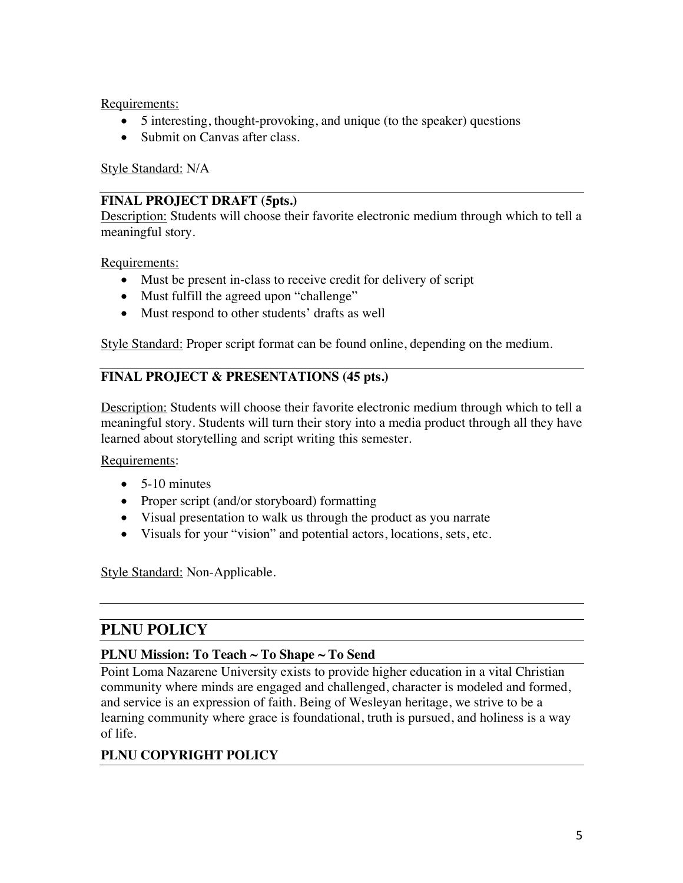Requirements:

- 5 interesting, thought-provoking, and unique (to the speaker) questions
- Submit on Canvas after class.

Style Standard: N/A

### **FINAL PROJECT DRAFT (5pts.)**

Description: Students will choose their favorite electronic medium through which to tell a meaningful story.

Requirements:

- Must be present in-class to receive credit for delivery of script
- Must fulfill the agreed upon "challenge"
- Must respond to other students' drafts as well

Style Standard: Proper script format can be found online, depending on the medium.

## **FINAL PROJECT & PRESENTATIONS (45 pts.)**

Description: Students will choose their favorite electronic medium through which to tell a meaningful story. Students will turn their story into a media product through all they have learned about storytelling and script writing this semester.

Requirements:

- 5-10 minutes
- Proper script (and/or storyboard) formatting
- Visual presentation to walk us through the product as you narrate
- Visuals for your "vision" and potential actors, locations, sets, etc.

Style Standard: Non-Applicable.

# **PLNU POLICY**

#### **PLNU Mission: To Teach ~ To Shape ~ To Send**

Point Loma Nazarene University exists to provide higher education in a vital Christian community where minds are engaged and challenged, character is modeled and formed, and service is an expression of faith. Being of Wesleyan heritage, we strive to be a learning community where grace is foundational, truth is pursued, and holiness is a way of life.

## **PLNU COPYRIGHT POLICY**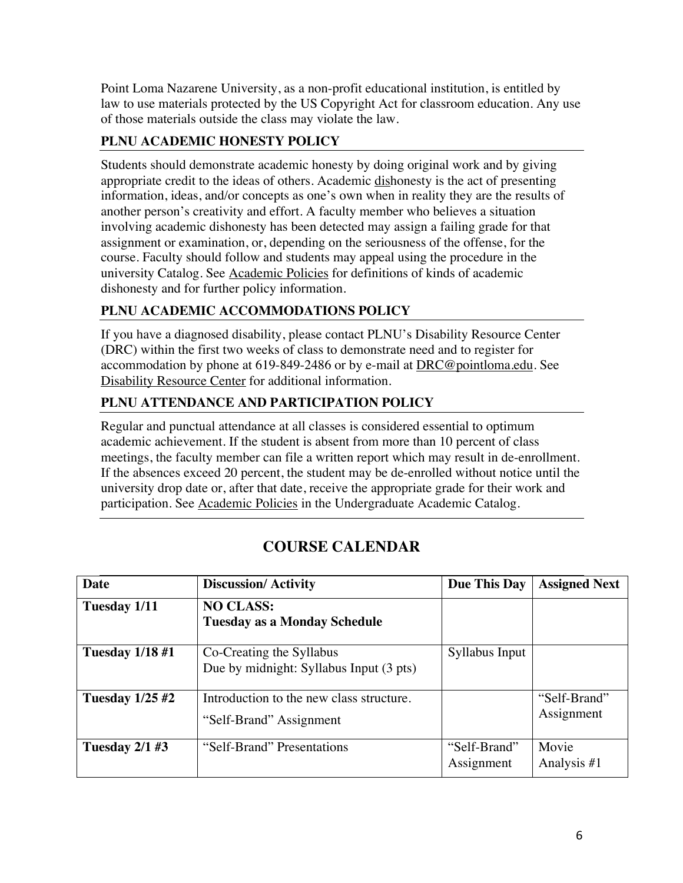Point Loma Nazarene University, as a non-profit educational institution, is entitled by law to use materials protected by the US Copyright Act for classroom education. Any use of those materials outside the class may violate the law.

# **PLNU ACADEMIC HONESTY POLICY**

Students should demonstrate academic honesty by doing original work and by giving appropriate credit to the ideas of others. Academic dishonesty is the act of presenting information, ideas, and/or concepts as one's own when in reality they are the results of another person's creativity and effort. A faculty member who believes a situation involving academic dishonesty has been detected may assign a failing grade for that assignment or examination, or, depending on the seriousness of the offense, for the course. Faculty should follow and students may appeal using the procedure in the university Catalog. See Academic Policies for definitions of kinds of academic dishonesty and for further policy information.

# **PLNU ACADEMIC ACCOMMODATIONS POLICY**

If you have a diagnosed disability, please contact PLNU's Disability Resource Center (DRC) within the first two weeks of class to demonstrate need and to register for accommodation by phone at 619-849-2486 or by e-mail at DRC@pointloma.edu. See Disability Resource Center for additional information.

## **PLNU ATTENDANCE AND PARTICIPATION POLICY**

Regular and punctual attendance at all classes is considered essential to optimum academic achievement. If the student is absent from more than 10 percent of class meetings, the faculty member can file a written report which may result in de-enrollment. If the absences exceed 20 percent, the student may be de-enrolled without notice until the university drop date or, after that date, receive the appropriate grade for their work and participation. See Academic Policies in the Undergraduate Academic Catalog.

| <b>Date</b>            | <b>Discussion/Activity</b>                                          | Due This Day               | <b>Assigned Next</b>       |
|------------------------|---------------------------------------------------------------------|----------------------------|----------------------------|
| Tuesday 1/11           | <b>NO CLASS:</b><br><b>Tuesday as a Monday Schedule</b>             |                            |                            |
| <b>Tuesday 1/18 #1</b> | Co-Creating the Syllabus<br>Due by midnight: Syllabus Input (3 pts) | Syllabus Input             |                            |
| <b>Tuesday 1/25 #2</b> | Introduction to the new class structure.<br>"Self-Brand" Assignment |                            | "Self-Brand"<br>Assignment |
| Tuesday $2/1$ #3       | "Self-Brand" Presentations                                          | "Self-Brand"<br>Assignment | Movie<br>Analysis #1       |

# **COURSE CALENDAR**